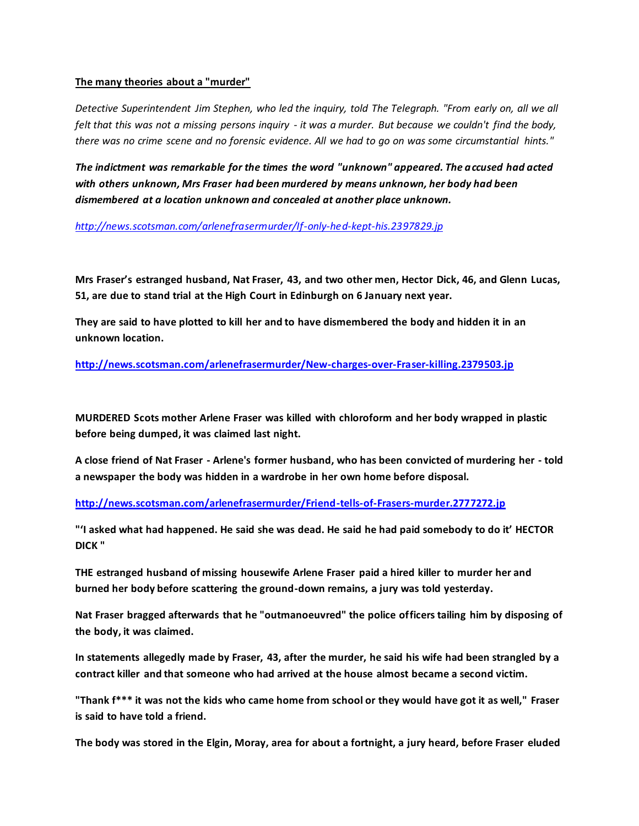## **The many theories about a "murder"**

*Detective Superintendent Jim Stephen, who led the inquiry, told The Telegraph. "From early on, all we all felt that this was not a missing persons inquiry - it was a murder. But because we couldn't find the body, there was no crime scene and no forensic evidence. All we had to go on was some circumstantial hints."* 

*The indictment was remarkable for the times the word "unknown" appeared. The accused had acted with others unknown, Mrs Fraser had been murdered by means unknown, her body had been dismembered at a location unknown and concealed at another place unknown.*

*<http://news.scotsman.com/arlenefrasermurder/If-only-hed-kept-his.2397829.jp>*

**Mrs Fraser's estranged husband, Nat Fraser, 43, and two other men, Hector Dick, 46, and Glenn Lucas, 51, are due to stand trial at the High Court in Edinburgh on 6 January next year.**

**They are said to have plotted to kill her and to have dismembered the body and hidden it in an unknown location.** 

**<http://news.scotsman.com/arlenefrasermurder/New-charges-over-Fraser-killing.2379503.jp>**

**MURDERED Scots mother Arlene Fraser was killed with chloroform and her body wrapped in plastic before being dumped, it was claimed last night.**

**A close friend of Nat Fraser - Arlene's former husband, who has been convicted of murdering her - told a newspaper the body was hidden in a wardrobe in her own home before disposal.** 

**<http://news.scotsman.com/arlenefrasermurder/Friend-tells-of-Frasers-murder.2777272.jp>**

**"'I asked what had happened. He said she was dead. He said he had paid somebody to do it' HECTOR DICK "**

**THE estranged husband of missing housewife Arlene Fraser paid a hired killer to murder her and burned her body before scattering the ground-down remains, a jury was told yesterday.**

**Nat Fraser bragged afterwards that he "outmanoeuvred" the police officers tailing him by disposing of the body, it was claimed.**

**In statements allegedly made by Fraser, 43, after the murder, he said his wife had been strangled by a contract killer and that someone who had arrived at the house almost became a second victim.**

**"Thank f\*\*\* it was not the kids who came home from school or they would have got it as well," Fraser is said to have told a friend.**

**The body was stored in the Elgin, Moray, area for about a fortnight, a jury heard, before Fraser eluded**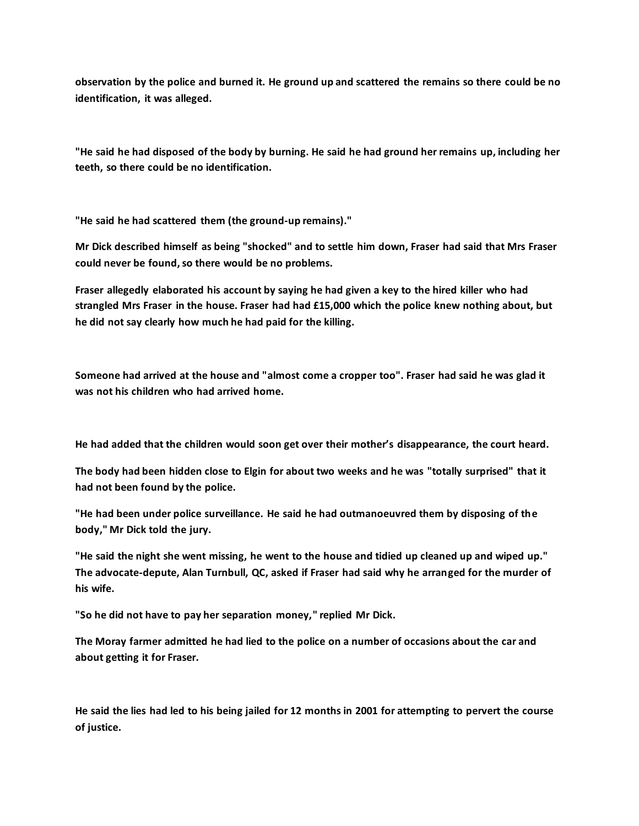**observation by the police and burned it. He ground up and scattered the remains so there could be no identification, it was alleged.**

**"He said he had disposed of the body by burning. He said he had ground her remains up, including her teeth, so there could be no identification.**

**"He said he had scattered them (the ground-up remains)."**

**Mr Dick described himself as being "shocked" and to settle him down, Fraser had said that Mrs Fraser could never be found, so there would be no problems.**

**Fraser allegedly elaborated his account by saying he had given a key to the hired killer who had strangled Mrs Fraser in the house. Fraser had had £15,000 which the police knew nothing about, but he did not say clearly how much he had paid for the killing.**

**Someone had arrived at the house and "almost come a cropper too". Fraser had said he was glad it was not his children who had arrived home.**

**He had added that the children would soon get over their mother's disappearance, the court heard.**

**The body had been hidden close to Elgin for about two weeks and he was "totally surprised" that it had not been found by the police.**

**"He had been under police surveillance. He said he had outmanoeuvred them by disposing of the body," Mr Dick told the jury.**

**"He said the night she went missing, he went to the house and tidied up cleaned up and wiped up." The advocate-depute, Alan Turnbull, QC, asked if Fraser had said why he arranged for the murder of his wife.**

**"So he did not have to pay her separation money," replied Mr Dick.**

**The Moray farmer admitted he had lied to the police on a number of occasions about the car and about getting it for Fraser.**

**He said the lies had led to his being jailed for 12 months in 2001 for attempting to pervert the course of justice.**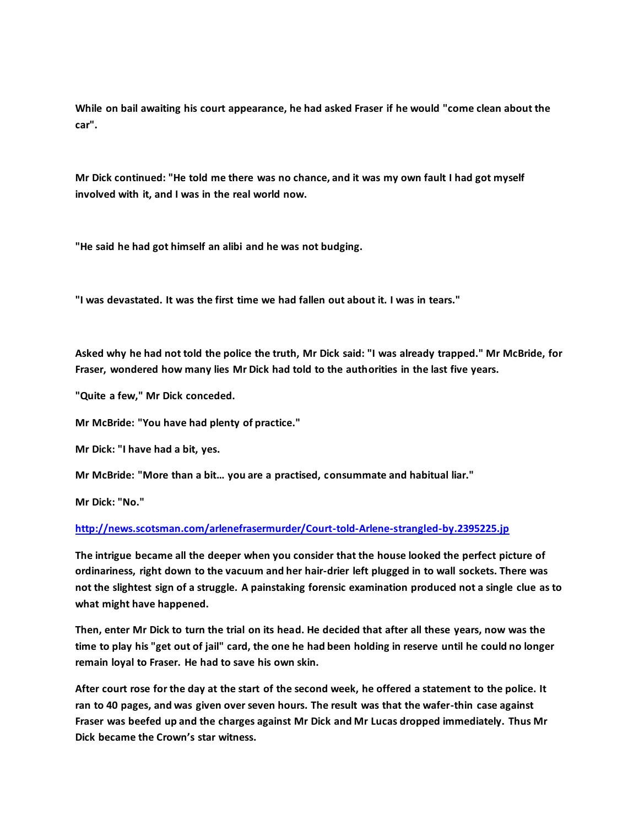**While on bail awaiting his court appearance, he had asked Fraser if he would "come clean about the car".**

**Mr Dick continued: "He told me there was no chance, and it was my own fault I had got myself involved with it, and I was in the real world now.**

**"He said he had got himself an alibi and he was not budging.**

**"I was devastated. It was the first time we had fallen out about it. I was in tears."**

**Asked why he had not told the police the truth, Mr Dick said: "I was already trapped." Mr McBride, for Fraser, wondered how many lies Mr Dick had told to the authorities in the last five years.**

**"Quite a few," Mr Dick conceded.**

**Mr McBride: "You have had plenty of practice."**

**Mr Dick: "I have had a bit, yes.**

**Mr McBride: "More than a bit… you are a practised, consummate and habitual liar."**

**Mr Dick: "No."**

## **<http://news.scotsman.com/arlenefrasermurder/Court-told-Arlene-strangled-by.2395225.jp>**

**The intrigue became all the deeper when you consider that the house looked the perfect picture of ordinariness, right down to the vacuum and her hair-drier left plugged in to wall sockets. There was not the slightest sign of a struggle. A painstaking forensic examination produced not a single clue as to what might have happened.**

**Then, enter Mr Dick to turn the trial on its head. He decided that after all these years, now was the time to play his "get out of jail" card, the one he had been holding in reserve until he could no longer remain loyal to Fraser. He had to save his own skin.**

**After court rose for the day at the start of the second week, he offered a statement to the police. It ran to 40 pages, and was given over seven hours. The result was that the wafer-thin case against Fraser was beefed up and the charges against Mr Dick and Mr Lucas dropped immediately. Thus Mr Dick became the Crown's star witness.**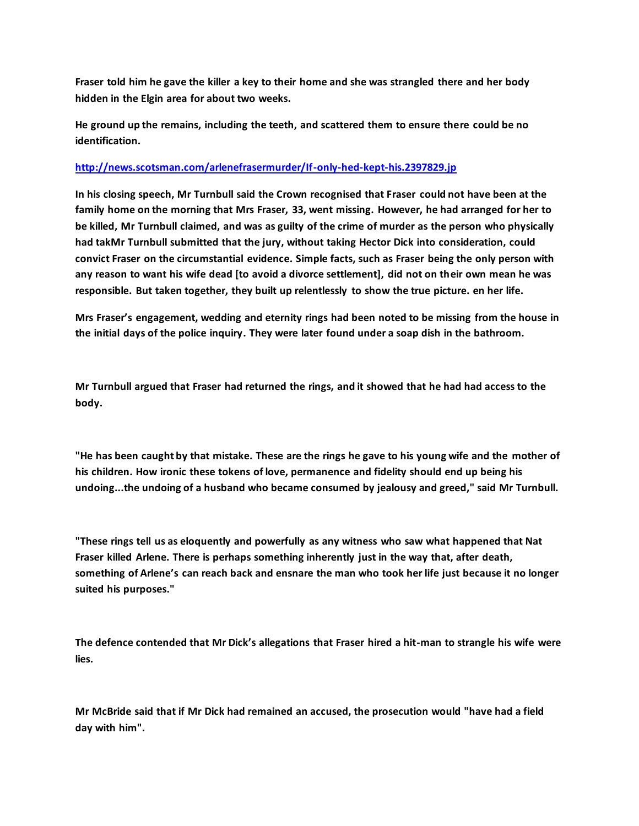**Fraser told him he gave the killer a key to their home and she was strangled there and her body hidden in the Elgin area for about two weeks.**

**He ground up the remains, including the teeth, and scattered them to ensure there could be no identification.**

## **<http://news.scotsman.com/arlenefrasermurder/If-only-hed-kept-his.2397829.jp>**

**In his closing speech, Mr Turnbull said the Crown recognised that Fraser could not have been at the family home on the morning that Mrs Fraser, 33, went missing. However, he had arranged for her to be killed, Mr Turnbull claimed, and was as guilty of the crime of murder as the person who physically had takMr Turnbull submitted that the jury, without taking Hector Dick into consideration, could convict Fraser on the circumstantial evidence. Simple facts, such as Fraser being the only person with any reason to want his wife dead [to avoid a divorce settlement], did not on their own mean he was responsible. But taken together, they built up relentlessly to show the true picture. en her life.**

**Mrs Fraser's engagement, wedding and eternity rings had been noted to be missing from the house in the initial days of the police inquiry. They were later found under a soap dish in the bathroom.**

**Mr Turnbull argued that Fraser had returned the rings, and it showed that he had had access to the body.**

**"He has been caught by that mistake. These are the rings he gave to his young wife and the mother of his children. How ironic these tokens of love, permanence and fidelity should end up being his undoing...the undoing of a husband who became consumed by jealousy and greed," said Mr Turnbull.**

**"These rings tell us as eloquently and powerfully as any witness who saw what happened that Nat Fraser killed Arlene. There is perhaps something inherently just in the way that, after death, something of Arlene's can reach back and ensnare the man who took her life just because it no longer suited his purposes."**

**The defence contended that Mr Dick's allegations that Fraser hired a hit-man to strangle his wife were lies.**

**Mr McBride said that if Mr Dick had remained an accused, the prosecution would "have had a field day with him".**